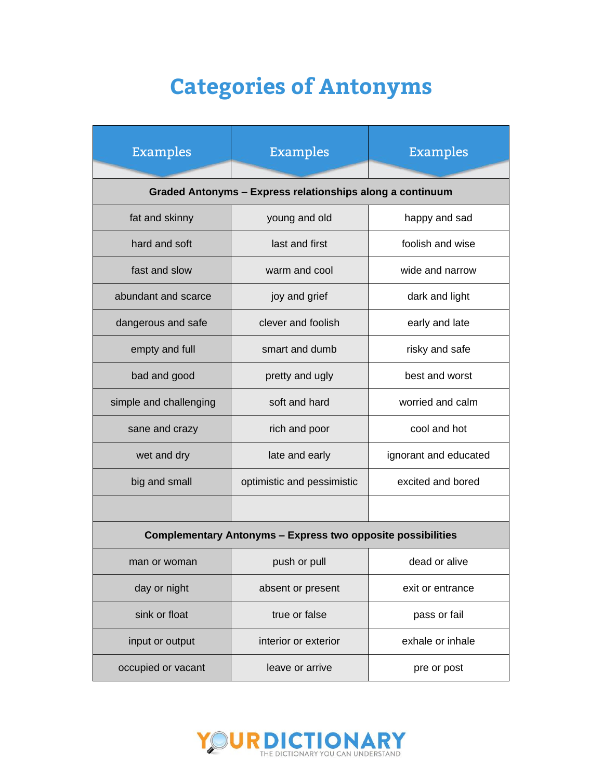## **Categories of Antonyms**

| <b>Examples</b>                                                    | <b>Examples</b>            | <b>Examples</b>       |  |
|--------------------------------------------------------------------|----------------------------|-----------------------|--|
| Graded Antonyms - Express relationships along a continuum          |                            |                       |  |
| fat and skinny                                                     | young and old              | happy and sad         |  |
| hard and soft                                                      | last and first             | foolish and wise      |  |
| fast and slow                                                      | warm and cool              | wide and narrow       |  |
| abundant and scarce                                                | joy and grief              | dark and light        |  |
| dangerous and safe                                                 | clever and foolish         | early and late        |  |
| empty and full                                                     | smart and dumb             | risky and safe        |  |
| bad and good                                                       | pretty and ugly            | best and worst        |  |
| simple and challenging                                             | soft and hard              | worried and calm      |  |
| sane and crazy                                                     | rich and poor              | cool and hot          |  |
| wet and dry                                                        | late and early             | ignorant and educated |  |
| big and small                                                      | optimistic and pessimistic | excited and bored     |  |
|                                                                    |                            |                       |  |
| <b>Complementary Antonyms - Express two opposite possibilities</b> |                            |                       |  |
| man or woman                                                       | push or pull               | dead or alive         |  |
| day or night                                                       | absent or present          | exit or entrance      |  |
| sink or float                                                      | true or false              | pass or fail          |  |
| input or output                                                    | interior or exterior       | exhale or inhale      |  |
| occupied or vacant                                                 | leave or arrive            | pre or post           |  |